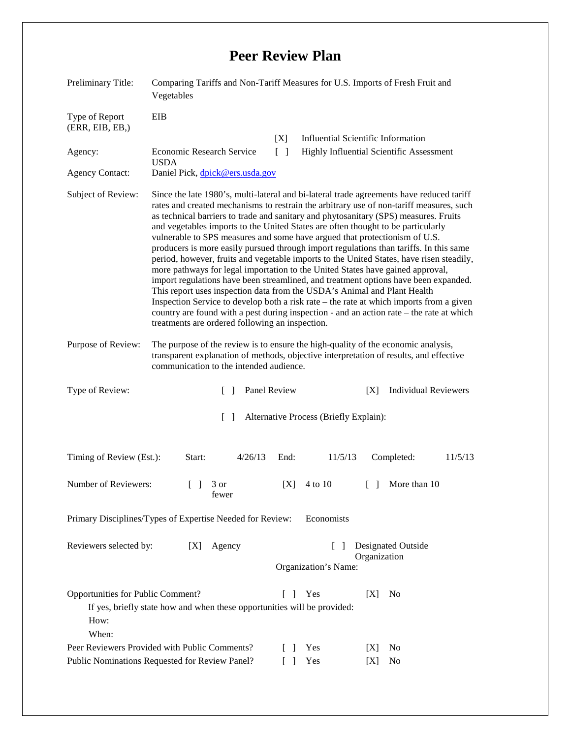## **Peer Review Plan**

| Preliminary Title:                                 | Comparing Tariffs and Non-Tariff Measures for U.S. Imports of Fresh Fruit and<br>Vegetables                                                                                                                                                                                                                                                                                                                                                                                                                                                                                                                                                                                                                                                                                                                                                                                                                                                                                                                                                                                                                                        |                                                  |                                           |
|----------------------------------------------------|------------------------------------------------------------------------------------------------------------------------------------------------------------------------------------------------------------------------------------------------------------------------------------------------------------------------------------------------------------------------------------------------------------------------------------------------------------------------------------------------------------------------------------------------------------------------------------------------------------------------------------------------------------------------------------------------------------------------------------------------------------------------------------------------------------------------------------------------------------------------------------------------------------------------------------------------------------------------------------------------------------------------------------------------------------------------------------------------------------------------------------|--------------------------------------------------|-------------------------------------------|
| Type of Report<br>(ERR, EIB, EB, )                 | EIB                                                                                                                                                                                                                                                                                                                                                                                                                                                                                                                                                                                                                                                                                                                                                                                                                                                                                                                                                                                                                                                                                                                                | [X]                                              | <b>Influential Scientific Information</b> |
| Agency:                                            | Economic Research Service                                                                                                                                                                                                                                                                                                                                                                                                                                                                                                                                                                                                                                                                                                                                                                                                                                                                                                                                                                                                                                                                                                          | $\Box$                                           | Highly Influential Scientific Assessment  |
| <b>Agency Contact:</b>                             | <b>USDA</b><br>Daniel Pick, dpick@ers.usda.gov                                                                                                                                                                                                                                                                                                                                                                                                                                                                                                                                                                                                                                                                                                                                                                                                                                                                                                                                                                                                                                                                                     |                                                  |                                           |
| Subject of Review:                                 | Since the late 1980's, multi-lateral and bi-lateral trade agreements have reduced tariff<br>rates and created mechanisms to restrain the arbitrary use of non-tariff measures, such<br>as technical barriers to trade and sanitary and phytosanitary (SPS) measures. Fruits<br>and vegetables imports to the United States are often thought to be particularly<br>vulnerable to SPS measures and some have argued that protectionism of U.S.<br>producers is more easily pursued through import regulations than tariffs. In this same<br>period, however, fruits and vegetable imports to the United States, have risen steadily,<br>more pathways for legal importation to the United States have gained approval,<br>import regulations have been streamlined, and treatment options have been expanded.<br>This report uses inspection data from the USDA's Animal and Plant Health<br>Inspection Service to develop both a risk rate – the rate at which imports from a given<br>country are found with a pest during inspection - and an action rate – the rate at which<br>treatments are ordered following an inspection. |                                                  |                                           |
| Purpose of Review:                                 | The purpose of the review is to ensure the high-quality of the economic analysis,<br>transparent explanation of methods, objective interpretation of results, and effective<br>communication to the intended audience.                                                                                                                                                                                                                                                                                                                                                                                                                                                                                                                                                                                                                                                                                                                                                                                                                                                                                                             |                                                  |                                           |
| Type of Review:                                    | Panel Review<br>$\mathbf{1}$                                                                                                                                                                                                                                                                                                                                                                                                                                                                                                                                                                                                                                                                                                                                                                                                                                                                                                                                                                                                                                                                                                       |                                                  | <b>Individual Reviewers</b><br>[X]        |
|                                                    | $\Box$                                                                                                                                                                                                                                                                                                                                                                                                                                                                                                                                                                                                                                                                                                                                                                                                                                                                                                                                                                                                                                                                                                                             | Alternative Process (Briefly Explain):           |                                           |
| Timing of Review (Est.):                           | 4/26/13<br>Start:                                                                                                                                                                                                                                                                                                                                                                                                                                                                                                                                                                                                                                                                                                                                                                                                                                                                                                                                                                                                                                                                                                                  | End:<br>11/5/13                                  | Completed:<br>11/5/13                     |
| Number of Reviewers:                               | $\begin{bmatrix} 1 & 3 \end{bmatrix}$<br>fewer                                                                                                                                                                                                                                                                                                                                                                                                                                                                                                                                                                                                                                                                                                                                                                                                                                                                                                                                                                                                                                                                                     | 4 to 10<br>[X]                                   | More than 10<br>$\Box$                    |
|                                                    | Primary Disciplines/Types of Expertise Needed for Review:                                                                                                                                                                                                                                                                                                                                                                                                                                                                                                                                                                                                                                                                                                                                                                                                                                                                                                                                                                                                                                                                          | Economists                                       |                                           |
| Reviewers selected by:                             | Agency<br>[X]                                                                                                                                                                                                                                                                                                                                                                                                                                                                                                                                                                                                                                                                                                                                                                                                                                                                                                                                                                                                                                                                                                                      | $\Box$<br>Organization's Name:                   | <b>Designated Outside</b><br>Organization |
|                                                    |                                                                                                                                                                                                                                                                                                                                                                                                                                                                                                                                                                                                                                                                                                                                                                                                                                                                                                                                                                                                                                                                                                                                    |                                                  |                                           |
| Opportunities for Public Comment?<br>How:<br>When: | If yes, briefly state how and when these opportunities will be provided:                                                                                                                                                                                                                                                                                                                                                                                                                                                                                                                                                                                                                                                                                                                                                                                                                                                                                                                                                                                                                                                           | Yes<br>$\Box$                                    | [X]<br>N <sub>0</sub>                     |
|                                                    | Peer Reviewers Provided with Public Comments?<br>Public Nominations Requested for Review Panel?                                                                                                                                                                                                                                                                                                                                                                                                                                                                                                                                                                                                                                                                                                                                                                                                                                                                                                                                                                                                                                    | Yes<br>$\mathbf{I}$<br>$\lceil \; \rceil$<br>Yes | N <sub>0</sub><br>[X]<br>No<br>[X]        |